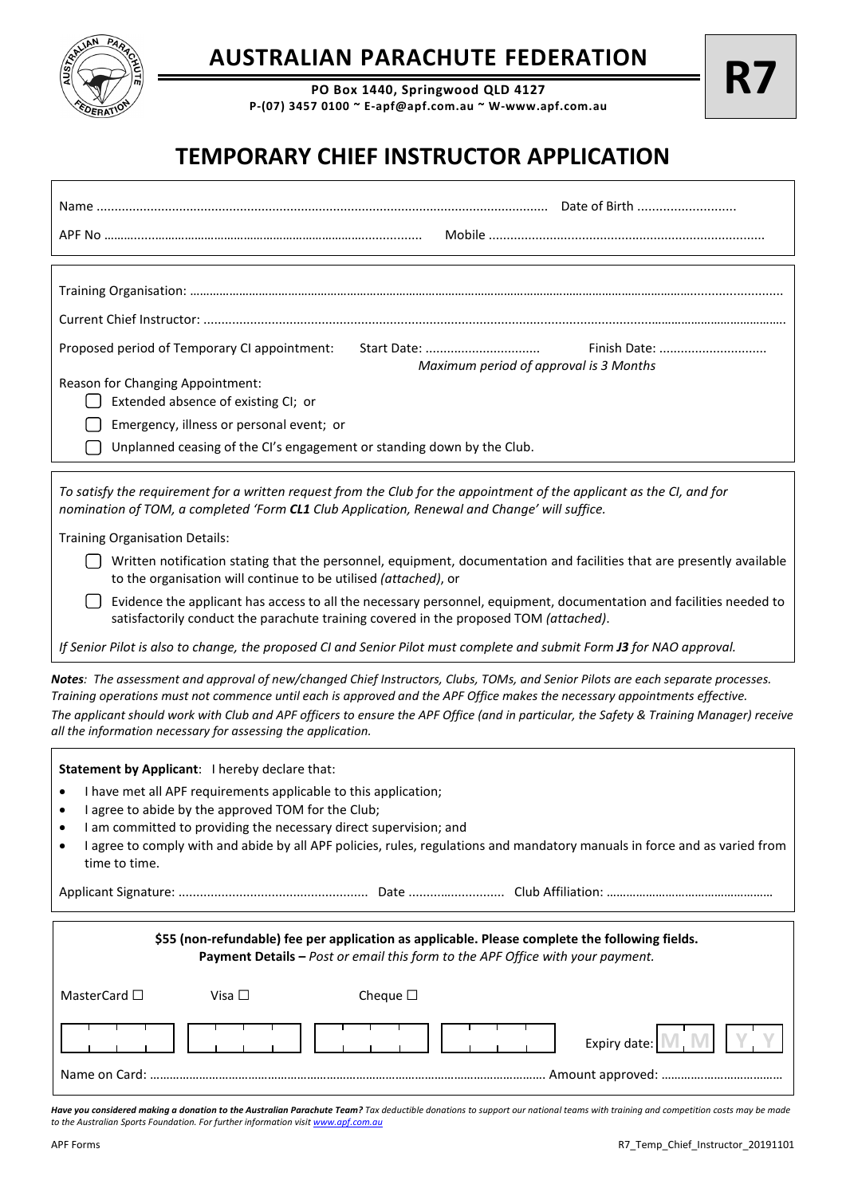

## **AUSTRALIAN PARACHUTE FEDERATION**

**PO Box 1440, Springwood QLD 4127 P-(07) 3457 0100 ~ E-apf@apf.com.au ~ W-www.apf.com.au**

## **TEMPORARY CHIEF INSTRUCTOR APPLICATION**

| Proposed period of Temporary CI appointment:<br>Start Date:<br>Finish Date:<br>Maximum period of approval is 3 Months                                                                                                                                                                                                                                                                                                                                                       |
|-----------------------------------------------------------------------------------------------------------------------------------------------------------------------------------------------------------------------------------------------------------------------------------------------------------------------------------------------------------------------------------------------------------------------------------------------------------------------------|
| Reason for Changing Appointment:                                                                                                                                                                                                                                                                                                                                                                                                                                            |
| Extended absence of existing CI; or                                                                                                                                                                                                                                                                                                                                                                                                                                         |
| Emergency, illness or personal event; or                                                                                                                                                                                                                                                                                                                                                                                                                                    |
| Unplanned ceasing of the CI's engagement or standing down by the Club.                                                                                                                                                                                                                                                                                                                                                                                                      |
| To satisfy the requirement for a written request from the Club for the appointment of the applicant as the CI, and for<br>nomination of TOM, a completed 'Form CL1 Club Application, Renewal and Change' will suffice.                                                                                                                                                                                                                                                      |
| <b>Training Organisation Details:</b>                                                                                                                                                                                                                                                                                                                                                                                                                                       |
| Written notification stating that the personnel, equipment, documentation and facilities that are presently available<br>to the organisation will continue to be utilised (attached), or                                                                                                                                                                                                                                                                                    |
| Evidence the applicant has access to all the necessary personnel, equipment, documentation and facilities needed to<br>satisfactorily conduct the parachute training covered in the proposed TOM (attached).                                                                                                                                                                                                                                                                |
| If Senior Pilot is also to change, the proposed CI and Senior Pilot must complete and submit Form J3 for NAO approval.                                                                                                                                                                                                                                                                                                                                                      |
| Notes: The assessment and approval of new/changed Chief Instructors, Clubs, TOMs, and Senior Pilots are each separate processes.<br>Training operations must not commence until each is approved and the APF Office makes the necessary appointments effective.<br>The applicant should work with Club and APF officers to ensure the APF Office (and in particular, the Safety & Training Manager) receive<br>all the information necessary for assessing the application. |
| Statement by Applicant: I hereby declare that:                                                                                                                                                                                                                                                                                                                                                                                                                              |
| I have met all APF requirements applicable to this application;                                                                                                                                                                                                                                                                                                                                                                                                             |
| I agree to abide by the approved TOM for the Club;                                                                                                                                                                                                                                                                                                                                                                                                                          |
| I am committed to providing the necessary direct supervision; and<br>I agree to comply with and abide by all APF policies, rules, regulations and mandatory manuals in force and as varied from<br>time to time.                                                                                                                                                                                                                                                            |
|                                                                                                                                                                                                                                                                                                                                                                                                                                                                             |
| \$55 (non-refundable) fee per application as applicable. Please complete the following fields.<br>Payment Details - Post or email this form to the APF Office with your payment.                                                                                                                                                                                                                                                                                            |
| MasterCard □<br>Visa $\square$<br>Cheque $\square$                                                                                                                                                                                                                                                                                                                                                                                                                          |
| Expiry date: N                                                                                                                                                                                                                                                                                                                                                                                                                                                              |

*Have you considered making a donation to the Australian Parachute Team? Tax deductible donations to support our national teams with training and competition costs may be made to the Australian Sports Foundation. For further information visi[t www.apf.com.au](http://www.apf.com.au/)*